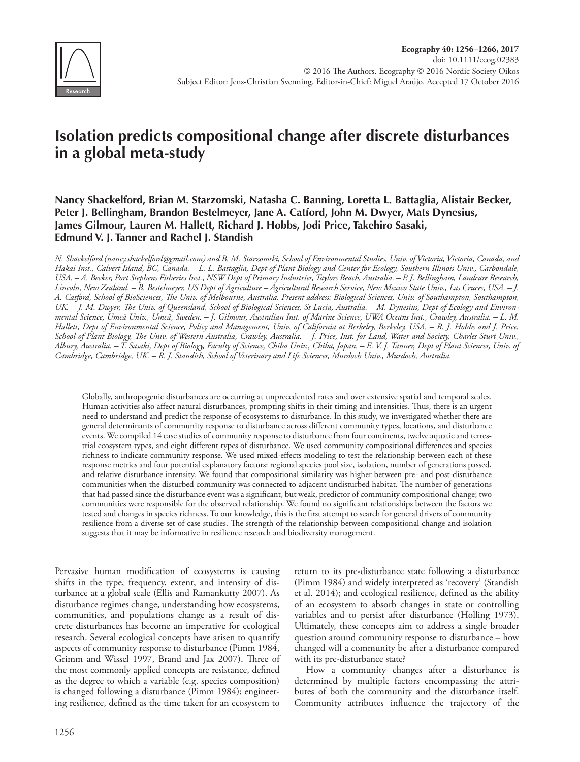

# **Isolation predicts compositional change after discrete disturbances in a global meta-study**

# **Nancy Shackelford, Brian M. Starzomski, Natasha C. Banning, Loretta L. Battaglia, Alistair Becker, Peter J. Bellingham, Brandon Bestelmeyer, Jane A. Catford, John M. Dwyer, Mats Dynesius, James Gilmour, Lauren M. Hallett, Richard J. Hobbs, Jodi Price, Takehiro Sasaki, Edmund V. J. Tanner and Rachel J. Standish**

*N. Shackelford (nancy.shackelford@gmail.com) and B. M. Starzomski, School of Environmental Studies, Univ. of Victoria, Victoria, Canada, and Hakai Inst., Calvert Island, BC, Canada. – L. L. Battaglia, Dept of Plant Biology and Center for Ecology, Southern Illinois Univ., Carbondale, USA. – A. Becker, Port Stephens Fisheries Inst., NSW Dept of Primary Industries, Taylors Beach, Australia. – P. J. Bellingham, Landcare Research, Lincoln, New Zealand. – B. Bestelmeyer, US Dept of Agriculture – Agricultural Research Service, New Mexico State Univ., Las Cruces, USA. – J. A. Catford, School of BioSciences, The Univ. of Melbourne, Australia. Present address: Biological Sciences, Univ. of Southampton, Southampton, UK. – J. M. Dwyer, The Univ. of Queensland, School of Biological Sciences, St Lucia, Australia. – M. Dynesius, Dept of Ecology and Environmental Science, Umeå Univ., Umeå, Sweden. – J. Gilmour, Australian Inst. of Marine Science, UWA Oceans Inst., Crawley, Australia. – L. M. Hallett, Dept of Environmental Science, Policy and Management, Univ. of California at Berkeley, Berkeley, USA. – R. J. Hobbs and J. Price, School of Plant Biology, The Univ. of Western Australia, Crawley, Australia. – J. Price, Inst. for Land, Water and Society, Charles Sturt Univ., Albury, Australia. – T. Sasaki, Dept of Biology, Faculty of Science, Chiba Univ., Chiba, Japan. – E. V. J. Tanner, Dept of Plant Sciences, Univ. of Cambridge, Cambridge, UK. – R. J. Standish, School of Veterinary and Life Sciences, Murdoch Univ., Murdoch, Australia.*

Globally, anthropogenic disturbances are occurring at unprecedented rates and over extensive spatial and temporal scales. Human activities also affect natural disturbances, prompting shifts in their timing and intensities. Thus, there is an urgent need to understand and predict the response of ecosystems to disturbance. In this study, we investigated whether there are general determinants of community response to disturbance across different community types, locations, and disturbance events. We compiled 14 case studies of community response to disturbance from four continents, twelve aquatic and terrestrial ecosystem types, and eight different types of disturbance. We used community compositional differences and species richness to indicate community response. We used mixed-effects modeling to test the relationship between each of these response metrics and four potential explanatory factors: regional species pool size, isolation, number of generations passed, and relative disturbance intensity. We found that compositional similarity was higher between pre- and post-disturbance communities when the disturbed community was connected to adjacent undisturbed habitat. The number of generations that had passed since the disturbance event was a significant, but weak, predictor of community compositional change; two communities were responsible for the observed relationship. We found no significant relationships between the factors we tested and changes in species richness. To our knowledge, this is the first attempt to search for general drivers of community resilience from a diverse set of case studies. The strength of the relationship between compositional change and isolation suggests that it may be informative in resilience research and biodiversity management.

Pervasive human modification of ecosystems is causing shifts in the type, frequency, extent, and intensity of disturbance at a global scale (Ellis and Ramankutty 2007). As disturbance regimes change, understanding how ecosystems, communities, and populations change as a result of discrete disturbances has become an imperative for ecological research. Several ecological concepts have arisen to quantify aspects of community response to disturbance (Pimm 1984, Grimm and Wissel 1997, Brand and Jax 2007). Three of the most commonly applied concepts are resistance, defined as the degree to which a variable (e.g. species composition) is changed following a disturbance (Pimm 1984); engineering resilience, defined as the time taken for an ecosystem to

return to its pre-disturbance state following a disturbance (Pimm 1984) and widely interpreted as 'recovery' (Standish et al. 2014); and ecological resilience, defined as the ability of an ecosystem to absorb changes in state or controlling variables and to persist after disturbance (Holling 1973). Ultimately, these concepts aim to address a single broader question around community response to disturbance – how changed will a community be after a disturbance compared with its pre-disturbance state?

How a community changes after a disturbance is determined by multiple factors encompassing the attributes of both the community and the disturbance itself. Community attributes influence the trajectory of the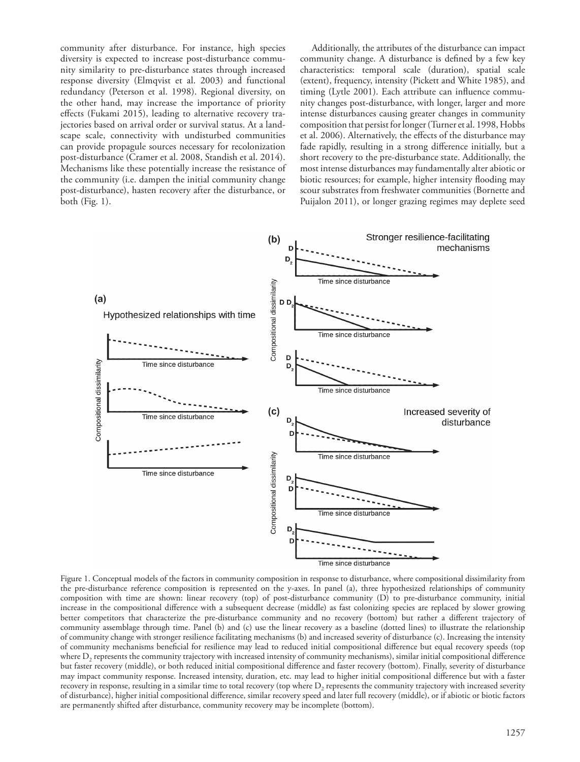community after disturbance. For instance, high species diversity is expected to increase post-disturbance community similarity to pre-disturbance states through increased response diversity (Elmqvist et al. 2003) and functional redundancy (Peterson et al. 1998). Regional diversity, on the other hand, may increase the importance of priority effects (Fukami 2015), leading to alternative recovery trajectories based on arrival order or survival status. At a landscape scale, connectivity with undisturbed communities can provide propagule sources necessary for recolonization post-disturbance (Cramer et al. 2008, Standish et al. 2014). Mechanisms like these potentially increase the resistance of the community (i.e. dampen the initial community change post-disturbance), hasten recovery after the disturbance, or both (Fig. 1).

Additionally, the attributes of the disturbance can impact community change. A disturbance is defined by a few key characteristics: temporal scale (duration), spatial scale (extent), frequency, intensity (Pickett and White 1985), and timing (Lytle 2001). Each attribute can influence community changes post-disturbance, with longer, larger and more intense disturbances causing greater changes in community composition that persist for longer (Turner et al. 1998, Hobbs et al. 2006). Alternatively, the effects of the disturbance may fade rapidly, resulting in a strong difference initially, but a short recovery to the pre-disturbance state. Additionally, the most intense disturbances may fundamentally alter abiotic or biotic resources; for example, higher intensity flooding may scour substrates from freshwater communities (Bornette and Puijalon 2011), or longer grazing regimes may deplete seed



Figure 1. Conceptual models of the factors in community composition in response to disturbance, where compositional dissimilarity from the pre-disturbance reference composition is represented on the y-axes. In panel (a), three hypothesized relationships of community composition with time are shown: linear recovery (top) of post-disturbance community (D) to pre-disturbance community, initial increase in the compositional difference with a subsequent decrease (middle) as fast colonizing species are replaced by slower growing better competitors that characterize the pre-disturbance community and no recovery (bottom) but rather a different trajectory of community assemblage through time. Panel (b) and (c) use the linear recovery as a baseline (dotted lines) to illustrate the relationship of community change with stronger resilience facilitating mechanisms (b) and increased severity of disturbance (c). Increasing the intensity of community mechanisms beneficial for resilience may lead to reduced initial compositional difference but equal recovery speeds (top where D<sub>2</sub> represents the community trajectory with increased intensity of community mechanisms), similar initial compositional difference but faster recovery (middle), or both reduced initial compositional difference and faster recovery (bottom). Finally, severity of disturbance may impact community response. Increased intensity, duration, etc. may lead to higher initial compositional difference but with a faster recovery in response, resulting in a similar time to total recovery (top where  $D<sub>2</sub>$  represents the community trajectory with increased severity of disturbance), higher initial compositional difference, similar recovery speed and later full recovery (middle), or if abiotic or biotic factors are permanently shifted after disturbance, community recovery may be incomplete (bottom).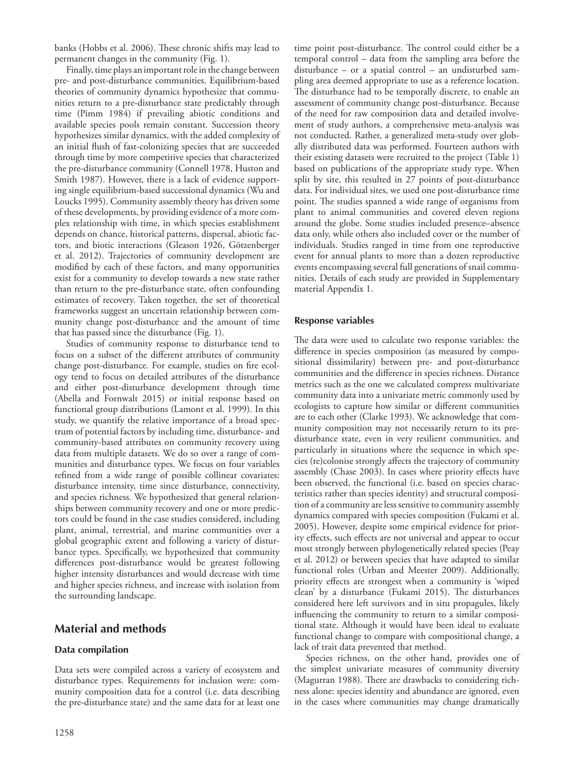banks (Hobbs et al. 2006). These chronic shifts may lead to permanent changes in the community (Fig. 1).

Finally, time plays an important role in the change between pre- and post-disturbance communities. Equilibrium-based theories of community dynamics hypothesize that communities return to a pre-disturbance state predictably through time (Pimm 1984) if prevailing abiotic conditions and available species pools remain constant. Succession theory hypothesizes similar dynamics, with the added complexity of an initial flush of fast-colonizing species that are succeeded through time by more competitive species that characterized the pre-disturbance community (Connell 1978, Huston and Smith 1987). However, there is a lack of evidence supporting single equilibrium-based successional dynamics (Wu and Loucks 1995). Community assembly theory has driven some of these developments, by providing evidence of a more complex relationship with time, in which species establishment depends on chance, historical patterns, dispersal, abiotic factors, and biotic interactions (Gleason 1926, Götzenberger et al. 2012). Trajectories of community development are modified by each of these factors, and many opportunities exist for a community to develop towards a new state rather than return to the pre-disturbance state, often confounding estimates of recovery. Taken together, the set of theoretical frameworks suggest an uncertain relationship between community change post-disturbance and the amount of time that has passed since the disturbance (Fig. 1).

Studies of community response to disturbance tend to focus on a subset of the different attributes of community change post-disturbance. For example, studies on fire ecology tend to focus on detailed attributes of the disturbance and either post-disturbance development through time (Abella and Fornwalt 2015) or initial response based on functional group distributions (Lamont et al. 1999). In this study, we quantify the relative importance of a broad spectrum of potential factors by including time, disturbance- and community-based attributes on community recovery using data from multiple datasets. We do so over a range of communities and disturbance types. We focus on four variables refined from a wide range of possible collinear covariates: disturbance intensity, time since disturbance, connectivity, and species richness. We hypothesized that general relationships between community recovery and one or more predictors could be found in the case studies considered, including plant, animal, terrestrial, and marine communities over a global geographic extent and following a variety of disturbance types. Specifically, we hypothesized that community differences post-disturbance would be greatest following higher intensity disturbances and would decrease with time and higher species richness, and increase with isolation from the surrounding landscape.

# **Material and methods**

## **Data compilation**

Data sets were compiled across a variety of ecosystem and disturbance types. Requirements for inclusion were: community composition data for a control (i.e. data describing the pre-disturbance state) and the same data for at least one

1258

time point post-disturbance. The control could either be a temporal control – data from the sampling area before the disturbance – or a spatial control – an undisturbed sampling area deemed appropriate to use as a reference location. The disturbance had to be temporally discrete, to enable an assessment of community change post-disturbance. Because of the need for raw composition data and detailed involvement of study authors, a comprehensive meta-analysis was not conducted. Rather, a generalized meta-study over globally distributed data was performed. Fourteen authors with their existing datasets were recruited to the project (Table 1) based on publications of the appropriate study type. When split by site, this resulted in 27 points of post-disturbance data. For individual sites, we used one post-disturbance time point. The studies spanned a wide range of organisms from plant to animal communities and covered eleven regions around the globe. Some studies included presence–absence data only, while others also included cover or the number of individuals. Studies ranged in time from one reproductive event for annual plants to more than a dozen reproductive events encompassing several full generations of snail communities. Details of each study are provided in Supplementary material Appendix 1.

## **Response variables**

The data were used to calculate two response variables: the difference in species composition (as measured by compositional dissimilarity) between pre- and post-disturbance communities and the difference in species richness. Distance metrics such as the one we calculated compress multivariate community data into a univariate metric commonly used by ecologists to capture how similar or different communities are to each other (Clarke 1993). We acknowledge that community composition may not necessarily return to its predisturbance state, even in very resilient communities, and particularly in situations where the sequence in which species (re)colonise strongly affects the trajectory of community assembly (Chase 2003). In cases where priority effects have been observed, the functional (i.e. based on species characteristics rather than species identity) and structural composition of a community are less sensitive to community assembly dynamics compared with species composition (Fukami et al. 2005). However, despite some empirical evidence for priority effects, such effects are not universal and appear to occur most strongly between phylogenetically related species (Peay et al. 2012) or between species that have adapted to similar functional roles (Urban and Meester 2009). Additionally, priority effects are strongest when a community is 'wiped clean' by a disturbance (Fukami 2015). The disturbances considered here left survivors and in situ propagules, likely influencing the community to return to a similar compositional state. Although it would have been ideal to evaluate functional change to compare with compositional change, a lack of trait data prevented that method.

Species richness, on the other hand, provides one of the simplest univariate measures of community diversity (Magurran 1988). There are drawbacks to considering richness alone: species identity and abundance are ignored, even in the cases where communities may change dramatically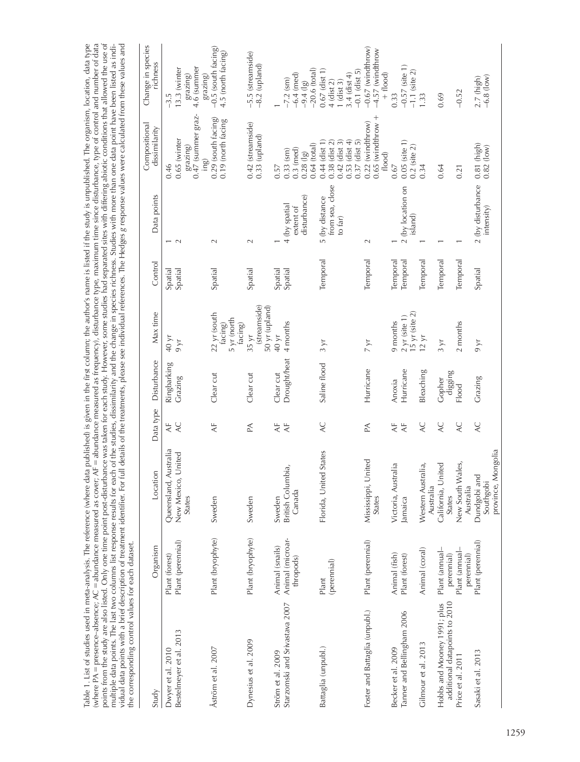| multiple data points. The last two columns list response results for each of the studies, dissimilarity and the change in species richness. Studies with more than one data point have been listed as indi-<br>vidual data points with a brief description of treatment identifier. For full details of the treatments, please see individual references. The Hedges g response values were calculated from these values and<br>the corresponding control values for each dataset. |                                                              |                                                                      |                                               |                            |                                                     |                      |                                              |                                                                                                 |                                                                                      |
|------------------------------------------------------------------------------------------------------------------------------------------------------------------------------------------------------------------------------------------------------------------------------------------------------------------------------------------------------------------------------------------------------------------------------------------------------------------------------------|--------------------------------------------------------------|----------------------------------------------------------------------|-----------------------------------------------|----------------------------|-----------------------------------------------------|----------------------|----------------------------------------------|-------------------------------------------------------------------------------------------------|--------------------------------------------------------------------------------------|
| Study                                                                                                                                                                                                                                                                                                                                                                                                                                                                              | Organism                                                     | Location                                                             | Data type                                     | Disturbance                | Max time                                            | Control              | Data points                                  | Compositional<br>dissimilarity                                                                  | Change in species<br>richness                                                        |
| Bestelmeyer et al. 2013<br>Dwyer et al. 2010                                                                                                                                                                                                                                                                                                                                                                                                                                       | Plant (perennial)<br>Plant (forest)                          | Australia<br>New Mexico, United<br>Queensland,<br>States             | $\lambda$ C<br>$\overline{\star}$             | Ringbarking<br>Grazing     | 40 yr<br>$\lambda$ 6                                | Spatial<br>Spatial   | $\sim$                                       | grazing)<br>0.47 (summer graz-<br>0.65 (winter<br>0.46                                          | grazing)<br>4.6 (summer<br>13.3 (winter<br>$-3.5$                                    |
| Åström et al. 2007                                                                                                                                                                                                                                                                                                                                                                                                                                                                 | Plant (bryophyte)                                            | Sweden                                                               | $\overline{\star}$                            | Clear cut                  | $22$ yr (south<br>5 yr (north<br>facing)<br>facing) | Spatial              | $\sim$                                       | 0.29 (south facing)<br>0.19 (north facing<br>ing)                                               | $-0.5$ (south facing)<br>4.5 (north facing)<br>grazing)                              |
| Dynesius et al. 2009                                                                                                                                                                                                                                                                                                                                                                                                                                                               | Plant (bryophyte)                                            | Sweden                                                               | Æ                                             | Clear cut                  | (streamside)<br>50 yr (upland)<br>$35 \text{ yr}$   | Spatial              | $\sim$                                       | 0.42 (streamside)<br>$0.33$ (upland)                                                            | -5.5 (streamside)<br>$-8.2$ (upland)                                                 |
| Starzomski and Srivastava 2007<br>Ström et al. 2009                                                                                                                                                                                                                                                                                                                                                                                                                                | Animal (microar-<br>Animal (snails)<br>thropods)             | British Columbia,<br>Canada<br>Sweden                                | $\overline{\star}$<br>$\prec$                 | Drought/heat<br>Clear cut  | 4 months<br>40 yr                                   | Spatial<br>Spatial   | disturbance)<br>4 (by spatial<br>extent of   | $0.64$ (total)<br>$0.3$ (med)<br>$0.33$ (sm)<br>$0.28($ lg)<br>0.57                             | $-20.6$ (total)<br>$-6.4$ (med)<br>$-7.2$ (sm)<br>$-9.4$ (g)                         |
| Battaglia (unpubl.)                                                                                                                                                                                                                                                                                                                                                                                                                                                                | (perennial)<br>Plant                                         | Florida, United States                                               | $\lambda$ C                                   | Saline flood               | $3 \gamma r$                                        | Temporal             | from sea, close<br>5 (by distance<br>to far) | $0.53$ (dist 4)<br>$0.37$ (dist $5$ )<br>$0.42$ (dist 3)<br>$0.44$ (dist 1)<br>$0.38$ (dist $2$ | $0.67$ (dist 1)<br>$-0.1$ (dist 5)<br>$3.4$ (dist 4)<br>$4$ (dist 2)<br>$1$ (dist 3) |
| Foster and Battaglia (unpubl.)                                                                                                                                                                                                                                                                                                                                                                                                                                                     | Plant (perennial)                                            | United<br>Mississippi, I<br><b>States</b>                            | $\mathbb{X}% _{n}$                            | Hurricane                  | $7 \, {\rm yr}$                                     | Temporal             | $\sim$                                       | $0.65$ (windthrow $+$<br>$0.22$ (windthrow)<br>flood)                                           | $-0.67$ (windthrow)<br>-4.57 (windthrow<br>$+$ flood                                 |
| Tanner and Bellingham 2006<br>Becker et al. 2009                                                                                                                                                                                                                                                                                                                                                                                                                                   | Animal (fish)<br>Plant (forest)                              | Victoria, Australia<br>Jamaica                                       | $\overline{\mathbf{r}}$<br>$\overline{\star}$ | Hurricane<br>Anoxia        | $2$ yr (site 1)<br>9 months                         | Temporal<br>Temporal | 2 (by location on<br>island)                 | $0.05$ (site $1$ )<br>$0.2$ (site $2$ )<br>0.67                                                 | $-0.57$ (site 1)<br>$-1.1$ (site 2)<br>0.33                                          |
| Gilmour et al. 2013                                                                                                                                                                                                                                                                                                                                                                                                                                                                | Animal (coral)                                               | Western Australia,<br>Australia                                      | $\prec$                                       | Bleaching                  | $15$ yr (site 2)<br>$12$ yr                         | Temporal             |                                              | 0.34                                                                                            | 1.33                                                                                 |
| additional datapoints to 2010<br>Hobbs and Mooney 1991; plus<br>Price et al. 2011                                                                                                                                                                                                                                                                                                                                                                                                  | Plant (annual-<br>Plant (annual-<br>perennial)<br>perennial) | New South Wales,<br>California, United<br>Australia<br><b>States</b> | $\lambda$ C<br>$\lambda$ C                    | digging<br>Copher<br>Flood | 2 months<br>$\geq$<br>$\infty$                      | Temporal<br>Temporal |                                              | 0.64<br>0.21                                                                                    | $-0.52$<br>0.69                                                                      |
| Sasaki et al. 2013                                                                                                                                                                                                                                                                                                                                                                                                                                                                 | Plant (perennial)                                            | province, Mongolia<br>p<br>Dundgobi an<br>Southgobi                  | $\lambda$ C                                   | Grazing                    | $9 \gamma r$                                        | Spatial              | 2 (by disturbance<br>intensity)              | $0.81$ (high)<br>$0.82$ (low)                                                                   | $-6.8$ (low)<br>$2.7$ (high)                                                         |

Table 1. List of studies used in meta-analysis. The reference (where data published) is given in the first column; the author's name is listed if the study is unpublished. The organism, location, data type Table 1. List of studies used in meta-analysis. The reference (where data published) is given in the first column; the author's name is listed if the study is unpublished. The organism, location, data type (where PA = pres presence–absence; AC abundance measured as cover; AF abundance measured as frequency), disturbance type, maximum time since disturbance, type of control and number of data points from the study are also listed. Only one time point post-disturbance was taken for each study. However, some studies had separated sites with differing abiotic conditions that allowed the use of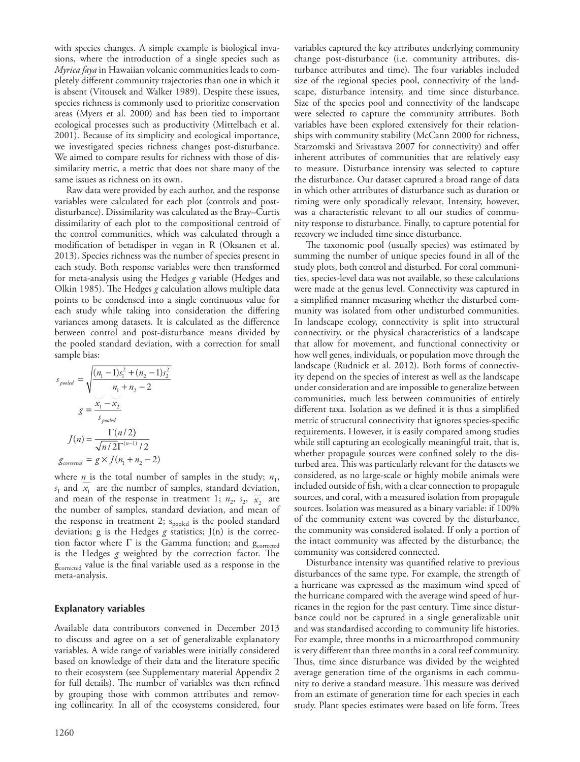with species changes. A simple example is biological invasions, where the introduction of a single species such as *Myrica faya* in Hawaiian volcanic communities leads to completely different community trajectories than one in which it is absent (Vitousek and Walker 1989). Despite these issues, species richness is commonly used to prioritize conservation areas (Myers et al. 2000) and has been tied to important ecological processes such as productivity (Mittelbach et al. 2001). Because of its simplicity and ecological importance, we investigated species richness changes post-disturbance. We aimed to compare results for richness with those of dissimilarity metric, a metric that does not share many of the same issues as richness on its own.

Raw data were provided by each author, and the response variables were calculated for each plot (controls and postdisturbance). Dissimilarity was calculated as the Bray–Curtis dissimilarity of each plot to the compositional centroid of the control communities, which was calculated through a modification of betadisper in vegan in R (Oksanen et al. 2013). Species richness was the number of species present in each study. Both response variables were then transformed for meta-analysis using the Hedges *g* variable (Hedges and Olkin 1985). The Hedges *g* calculation allows multiple data points to be condensed into a single continuous value for each study while taking into consideration the differing variances among datasets. It is calculated as the difference between control and post-disturbance means divided by the pooled standard deviation, with a correction for small sample bias:

$$
s_{pooled} = \sqrt{\frac{(n_1 - 1)s_1^2 + (n_2 - 1)s_2^2}{n_1 + n_2 - 2}}
$$

$$
g = \frac{\overline{x_1} - \overline{x_2}}{s_{pooled}}
$$

$$
J(n) = \frac{\Gamma(n/2)}{\sqrt{n/2}\Gamma^{(n-1)}/2}
$$

$$
g_{corrected} = g \times J(n_1 + n_2 - 2)
$$

where  $n$  is the total number of samples in the study;  $n_1$ ,  $s_1$  and  $x_1$  are the number of samples, standard deviation, and mean of the response in treatment 1;  $n_2$ ,  $s_2$ ,  $x_2$  are the number of samples, standard deviation, and mean of the response in treatment 2;  $s_{pooled}$  is the pooled standard deviation; g is the Hedges *g* statistics; J(n) is the correction factor where  $\Gamma$  is the Gamma function; and  $g_{\text{corrected}}$ is the Hedges *g* weighted by the correction factor. The gcorrected value is the final variable used as a response in the meta-analysis.

#### **Explanatory variables**

Available data contributors convened in December 2013 to discuss and agree on a set of generalizable explanatory variables. A wide range of variables were initially considered based on knowledge of their data and the literature specific to their ecosystem (see Supplementary material Appendix 2 for full details). The number of variables was then refined by grouping those with common attributes and removing collinearity. In all of the ecosystems considered, four variables captured the key attributes underlying community change post-disturbance (i.e. community attributes, disturbance attributes and time). The four variables included size of the regional species pool, connectivity of the landscape, disturbance intensity, and time since disturbance. Size of the species pool and connectivity of the landscape were selected to capture the community attributes. Both variables have been explored extensively for their relationships with community stability (McCann 2000 for richness, Starzomski and Srivastava 2007 for connectivity) and offer inherent attributes of communities that are relatively easy to measure. Disturbance intensity was selected to capture the disturbance. Our dataset captured a broad range of data in which other attributes of disturbance such as duration or timing were only sporadically relevant. Intensity, however, was a characteristic relevant to all our studies of community response to disturbance. Finally, to capture potential for recovery we included time since disturbance.

The taxonomic pool (usually species) was estimated by summing the number of unique species found in all of the study plots, both control and disturbed. For coral communities, species-level data was not available, so these calculations were made at the genus level. Connectivity was captured in a simplified manner measuring whether the disturbed community was isolated from other undisturbed communities. In landscape ecology, connectivity is split into structural connectivity, or the physical characteristics of a landscape that allow for movement, and functional connectivity or how well genes, individuals, or population move through the landscape (Rudnick et al. 2012). Both forms of connectivity depend on the species of interest as well as the landscape under consideration and are impossible to generalize between communities, much less between communities of entirely different taxa. Isolation as we defined it is thus a simplified metric of structural connectivity that ignores species-specific requirements. However, it is easily compared among studies while still capturing an ecologically meaningful trait, that is, whether propagule sources were confined solely to the disturbed area. This was particularly relevant for the datasets we considered, as no large-scale or highly mobile animals were included outside of fish, with a clear connection to propagule sources, and coral, with a measured isolation from propagule sources. Isolation was measured as a binary variable: if 100% of the community extent was covered by the disturbance, the community was considered isolated. If only a portion of the intact community was affected by the disturbance, the community was considered connected.

Disturbance intensity was quantified relative to previous disturbances of the same type. For example, the strength of a hurricane was expressed as the maximum wind speed of the hurricane compared with the average wind speed of hurricanes in the region for the past century. Time since disturbance could not be captured in a single generalizable unit and was standardised according to community life histories. For example, three months in a microarthropod community is very different than three months in a coral reef community. Thus, time since disturbance was divided by the weighted average generation time of the organisms in each community to derive a standard measure. This measure was derived from an estimate of generation time for each species in each study. Plant species estimates were based on life form. Trees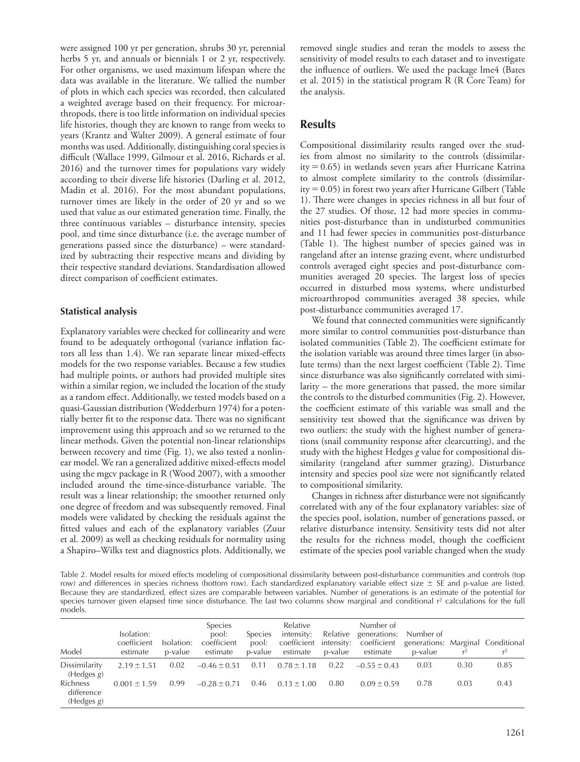were assigned 100 yr per generation, shrubs 30 yr, perennial herbs 5 yr, and annuals or biennials 1 or 2 yr, respectively. For other organisms, we used maximum lifespan where the data was available in the literature. We tallied the number of plots in which each species was recorded, then calculated a weighted average based on their frequency. For microarthropods, there is too little information on individual species life histories, though they are known to range from weeks to years (Krantz and Walter 2009). A general estimate of four months was used. Additionally, distinguishing coral species is difficult (Wallace 1999, Gilmour et al. 2016, Richards et al. 2016) and the turnover times for populations vary widely according to their diverse life histories (Darling et al. 2012, Madin et al. 2016). For the most abundant populations, turnover times are likely in the order of 20 yr and so we used that value as our estimated generation time. Finally, the three continuous variables – disturbance intensity, species pool, and time since disturbance (i.e. the average number of generations passed since the disturbance) – were standardized by subtracting their respective means and dividing by their respective standard deviations. Standardisation allowed direct comparison of coefficient estimates.

## **Statistical analysis**

Explanatory variables were checked for collinearity and were found to be adequately orthogonal (variance inflation factors all less than 1.4). We ran separate linear mixed-effects models for the two response variables. Because a few studies had multiple points, or authors had provided multiple sites within a similar region, we included the location of the study as a random effect. Additionally, we tested models based on a quasi-Gaussian distribution (Wedderburn 1974) for a potentially better fit to the response data. There was no significant improvement using this approach and so we returned to the linear methods. Given the potential non-linear relationships between recovery and time (Fig. 1), we also tested a nonlinear model. We ran a generalized additive mixed-effects model using the mgcv package in R (Wood 2007), with a smoother included around the time-since-disturbance variable. The result was a linear relationship; the smoother returned only one degree of freedom and was subsequently removed. Final models were validated by checking the residuals against the fitted values and each of the explanatory variables (Zuur et al. 2009) as well as checking residuals for normality using a Shapiro–Wilks test and diagnostics plots. Additionally, we removed single studies and reran the models to assess the sensitivity of model results to each dataset and to investigate the influence of outliers. We used the package lme4 (Bates et al. 2015) in the statistical program R (R Core Team) for the analysis.

## **Results**

Compositional dissimilarity results ranged over the studies from almost no similarity to the controls (dissimilar $ity=0.65$ ) in wetlands seven years after Hurricane Katrina to almost complete similarity to the controls (dissimilarity  $=0.05$ ) in forest two years after Hurricane Gilbert (Table 1). There were changes in species richness in all but four of the 27 studies. Of those, 12 had more species in communities post-disturbance than in undisturbed communities and 11 had fewer species in communities post-disturbance (Table 1). The highest number of species gained was in rangeland after an intense grazing event, where undisturbed controls averaged eight species and post-disturbance communities averaged 20 species. The largest loss of species occurred in disturbed moss systems, where undisturbed microarthropod communities averaged 38 species, while post-disturbance communities averaged 17.

We found that connected communities were significantly more similar to control communities post-disturbance than isolated communities (Table 2). The coefficient estimate for the isolation variable was around three times larger (in absolute terms) than the next largest coefficient (Table 2). Time since disturbance was also significantly correlated with similarity – the more generations that passed, the more similar the controls to the disturbed communities (Fig. 2). However, the coefficient estimate of this variable was small and the sensitivity test showed that the significance was driven by two outliers: the study with the highest number of generations (snail community response after clearcutting), and the study with the highest Hedges *g* value for compositional dissimilarity (rangeland after summer grazing). Disturbance intensity and species pool size were not significantly related to compositional similarity.

Changes in richness after disturbance were not significantly correlated with any of the four explanatory variables: size of the species pool, isolation, number of generations passed, or relative disturbance intensity. Sensitivity tests did not alter the results for the richness model, though the coefficient estimate of the species pool variable changed when the study

Table 2. Model results for mixed effects modeling of compositional dissimilarity between post-disturbance communities and controls (top row) and differences in species richness (bottom row). Each standardized explanatory variable effect size  $\pm$  SE and p-value are listed. Because they are standardized, effect sizes are comparable between variables. Number of generations is an estimate of the potential for species turnover given elapsed time since disturbance. The last two columns show marginal and conditional r<sup>2</sup> calculations for the full models.

| Model                                       | Isolation:<br>coefficient<br>estimate | Isolation:<br>p-value | <b>Species</b><br>pool:<br>coefficient<br>estimate | <b>Species</b><br>pool:<br>p-value | Relative<br>intensity:<br>estimate | Relative<br>p-value | Number of<br>generations: Number of<br>coefficient intensity: coefficient generations: Marginal Conditional<br>estimate | p-value |      | r <sup>2</sup> |
|---------------------------------------------|---------------------------------------|-----------------------|----------------------------------------------------|------------------------------------|------------------------------------|---------------------|-------------------------------------------------------------------------------------------------------------------------|---------|------|----------------|
| Dissimilarity<br>(Hedges g)                 | $2.19 \pm 1.51$                       | 0.02                  | $-0.46 \pm 0.51$                                   | 0.11                               | $0.78 \pm 1.18$                    | 0.22                | $-0.55 \pm 0.43$                                                                                                        | 0.03    | 0.30 | 0.85           |
| <b>Richness</b><br>difference<br>(Hedges g) | $0.001 \pm 1.59$                      | 0.99                  | $-0.28 \pm 0.71$                                   | 0.46                               | $0.13 \pm 1.00$                    | 0.80                | $0.09 \pm 0.59$                                                                                                         | 0.78    | 0.03 | 0.43           |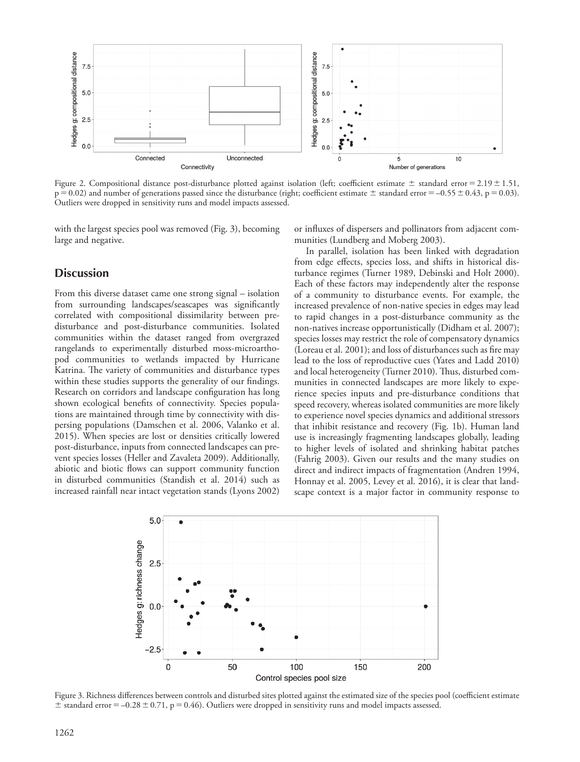

Figure 2. Compositional distance post-disturbance plotted against isolation (left; coefficient estimate  $\pm$  standard error = 2.19  $\pm$  1.51,  $p=0.02$ ) and number of generations passed since the disturbance (right; coefficient estimate  $\pm$  standard error = -0.55  $\pm$  0.43, p = 0.03). Outliers were dropped in sensitivity runs and model impacts assessed.

with the largest species pool was removed (Fig. 3), becoming large and negative.

## **Discussion**

From this diverse dataset came one strong signal – isolation from surrounding landscapes/seascapes was significantly correlated with compositional dissimilarity between predisturbance and post-disturbance communities. Isolated communities within the dataset ranged from overgrazed rangelands to experimentally disturbed moss-microarthopod communities to wetlands impacted by Hurricane Katrina. The variety of communities and disturbance types within these studies supports the generality of our findings. Research on corridors and landscape configuration has long shown ecological benefits of connectivity. Species populations are maintained through time by connectivity with dispersing populations (Damschen et al. 2006, Valanko et al. 2015). When species are lost or densities critically lowered post-disturbance, inputs from connected landscapes can prevent species losses (Heller and Zavaleta 2009). Additionally, abiotic and biotic flows can support community function in disturbed communities (Standish et al. 2014) such as increased rainfall near intact vegetation stands (Lyons 2002) or influxes of dispersers and pollinators from adjacent communities (Lundberg and Moberg 2003).

In parallel, isolation has been linked with degradation from edge effects, species loss, and shifts in historical disturbance regimes (Turner 1989, Debinski and Holt 2000). Each of these factors may independently alter the response of a community to disturbance events. For example, the increased prevalence of non-native species in edges may lead to rapid changes in a post-disturbance community as the non-natives increase opportunistically (Didham et al. 2007); species losses may restrict the role of compensatory dynamics (Loreau et al. 2001); and loss of disturbances such as fire may lead to the loss of reproductive cues (Yates and Ladd 2010) and local heterogeneity (Turner 2010). Thus, disturbed communities in connected landscapes are more likely to experience species inputs and pre-disturbance conditions that speed recovery, whereas isolated communities are more likely to experience novel species dynamics and additional stressors that inhibit resistance and recovery (Fig. 1b). Human land use is increasingly fragmenting landscapes globally, leading to higher levels of isolated and shrinking habitat patches (Fahrig 2003). Given our results and the many studies on direct and indirect impacts of fragmentation (Andren 1994, Honnay et al. 2005, Levey et al. 2016), it is clear that landscape context is a major factor in community response to



Figure 3. Richness differences between controls and disturbed sites plotted against the estimated size of the species pool (coefficient estimate  $\pm$  standard error = -0.28  $\pm$  0.71, p = 0.46). Outliers were dropped in sensitivity runs and model impacts assessed.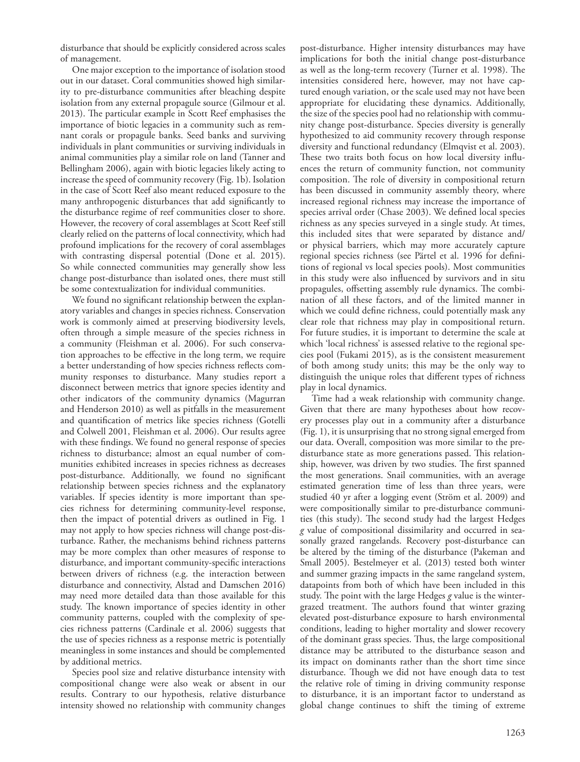disturbance that should be explicitly considered across scales of management.

One major exception to the importance of isolation stood out in our dataset. Coral communities showed high similarity to pre-disturbance communities after bleaching despite isolation from any external propagule source (Gilmour et al. 2013). The particular example in Scott Reef emphasises the importance of biotic legacies in a community such as remnant corals or propagule banks. Seed banks and surviving individuals in plant communities or surviving individuals in animal communities play a similar role on land (Tanner and Bellingham 2006), again with biotic legacies likely acting to increase the speed of community recovery (Fig. 1b). Isolation in the case of Scott Reef also meant reduced exposure to the many anthropogenic disturbances that add significantly to the disturbance regime of reef communities closer to shore. However, the recovery of coral assemblages at Scott Reef still clearly relied on the patterns of local connectivity, which had profound implications for the recovery of coral assemblages with contrasting dispersal potential (Done et al. 2015). So while connected communities may generally show less change post-disturbance than isolated ones, there must still be some contextualization for individual communities.

We found no significant relationship between the explanatory variables and changes in species richness. Conservation work is commonly aimed at preserving biodiversity levels, often through a simple measure of the species richness in a community (Fleishman et al. 2006). For such conservation approaches to be effective in the long term, we require a better understanding of how species richness reflects community responses to disturbance. Many studies report a disconnect between metrics that ignore species identity and other indicators of the community dynamics (Magurran and Henderson 2010) as well as pitfalls in the measurement and quantification of metrics like species richness (Gotelli and Colwell 2001, Fleishman et al. 2006). Our results agree with these findings. We found no general response of species richness to disturbance; almost an equal number of communities exhibited increases in species richness as decreases post-disturbance. Additionally, we found no significant relationship between species richness and the explanatory variables. If species identity is more important than species richness for determining community-level response, then the impact of potential drivers as outlined in Fig. 1 may not apply to how species richness will change post-disturbance. Rather, the mechanisms behind richness patterns may be more complex than other measures of response to disturbance, and important community-specific interactions between drivers of richness (e.g. the interaction between disturbance and connectivity, Alstad and Damschen 2016) may need more detailed data than those available for this study. The known importance of species identity in other community patterns, coupled with the complexity of species richness patterns (Cardinale et al. 2006) suggests that the use of species richness as a response metric is potentially meaningless in some instances and should be complemented by additional metrics.

Species pool size and relative disturbance intensity with compositional change were also weak or absent in our results. Contrary to our hypothesis, relative disturbance intensity showed no relationship with community changes post-disturbance. Higher intensity disturbances may have implications for both the initial change post-disturbance as well as the long-term recovery (Turner et al. 1998). The intensities considered here, however, may not have captured enough variation, or the scale used may not have been appropriate for elucidating these dynamics. Additionally, the size of the species pool had no relationship with community change post-disturbance. Species diversity is generally hypothesized to aid community recovery through response diversity and functional redundancy (Elmqvist et al. 2003). These two traits both focus on how local diversity influences the return of community function, not community composition. The role of diversity in compositional return has been discussed in community assembly theory, where increased regional richness may increase the importance of species arrival order (Chase 2003). We defined local species richness as any species surveyed in a single study. At times, this included sites that were separated by distance and/ or physical barriers, which may more accurately capture regional species richness (see Pärtel et al. 1996 for definitions of regional vs local species pools). Most communities in this study were also influenced by survivors and in situ propagules, offsetting assembly rule dynamics. The combination of all these factors, and of the limited manner in which we could define richness, could potentially mask any clear role that richness may play in compositional return. For future studies, it is important to determine the scale at which 'local richness' is assessed relative to the regional species pool (Fukami 2015), as is the consistent measurement of both among study units; this may be the only way to distinguish the unique roles that different types of richness play in local dynamics.

Time had a weak relationship with community change. Given that there are many hypotheses about how recovery processes play out in a community after a disturbance (Fig. 1), it is unsurprising that no strong signal emerged from our data. Overall, composition was more similar to the predisturbance state as more generations passed. This relationship, however, was driven by two studies. The first spanned the most generations. Snail communities, with an average estimated generation time of less than three years, were studied 40 yr after a logging event (Ström et al. 2009) and were compositionally similar to pre-disturbance communities (this study). The second study had the largest Hedges *g* value of compositional dissimilarity and occurred in seasonally grazed rangelands. Recovery post-disturbance can be altered by the timing of the disturbance (Pakeman and Small 2005). Bestelmeyer et al. (2013) tested both winter and summer grazing impacts in the same rangeland system, datapoints from both of which have been included in this study. The point with the large Hedges *g* value is the wintergrazed treatment. The authors found that winter grazing elevated post-disturbance exposure to harsh environmental conditions, leading to higher mortality and slower recovery of the dominant grass species. Thus, the large compositional distance may be attributed to the disturbance season and its impact on dominants rather than the short time since disturbance. Though we did not have enough data to test the relative role of timing in driving community response to disturbance, it is an important factor to understand as global change continues to shift the timing of extreme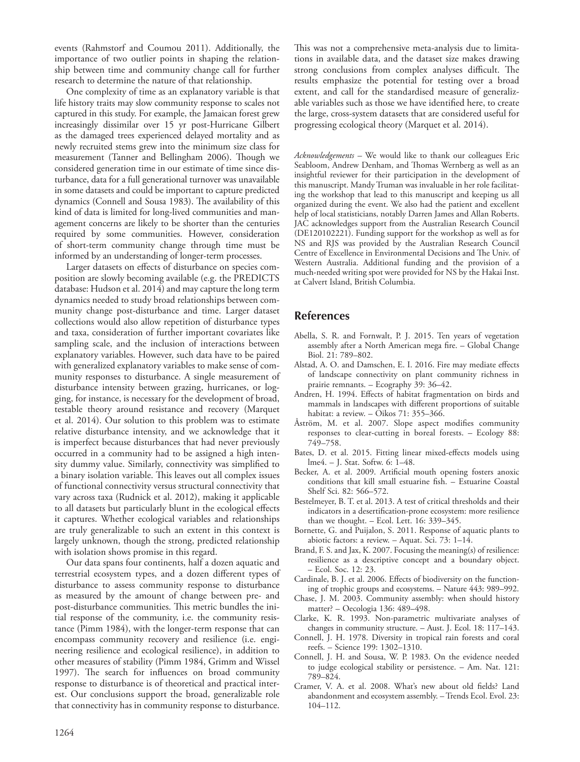events (Rahmstorf and Coumou 2011). Additionally, the importance of two outlier points in shaping the relationship between time and community change call for further research to determine the nature of that relationship.

One complexity of time as an explanatory variable is that life history traits may slow community response to scales not captured in this study. For example, the Jamaican forest grew increasingly dissimilar over 15 yr post-Hurricane Gilbert as the damaged trees experienced delayed mortality and as newly recruited stems grew into the minimum size class for measurement (Tanner and Bellingham 2006). Though we considered generation time in our estimate of time since disturbance, data for a full generational turnover was unavailable in some datasets and could be important to capture predicted dynamics (Connell and Sousa 1983). The availability of this kind of data is limited for long-lived communities and management concerns are likely to be shorter than the centuries required by some communities. However, consideration of short-term community change through time must be informed by an understanding of longer-term processes.

Larger datasets on effects of disturbance on species composition are slowly becoming available (e.g. the PREDICTS database: Hudson et al. 2014) and may capture the long term dynamics needed to study broad relationships between community change post-disturbance and time. Larger dataset collections would also allow repetition of disturbance types and taxa, consideration of further important covariates like sampling scale, and the inclusion of interactions between explanatory variables. However, such data have to be paired with generalized explanatory variables to make sense of community responses to disturbance. A single measurement of disturbance intensity between grazing, hurricanes, or logging, for instance, is necessary for the development of broad, testable theory around resistance and recovery (Marquet et al. 2014). Our solution to this problem was to estimate relative disturbance intensity, and we acknowledge that it is imperfect because disturbances that had never previously occurred in a community had to be assigned a high intensity dummy value. Similarly, connectivity was simplified to a binary isolation variable. This leaves out all complex issues of functional connectivity versus structural connectivity that vary across taxa (Rudnick et al. 2012), making it applicable to all datasets but particularly blunt in the ecological effects it captures. Whether ecological variables and relationships are truly generalizable to such an extent in this context is largely unknown, though the strong, predicted relationship with isolation shows promise in this regard.

Our data spans four continents, half a dozen aquatic and terrestrial ecosystem types, and a dozen different types of disturbance to assess community response to disturbance as measured by the amount of change between pre- and post-disturbance communities. This metric bundles the initial response of the community, i.e. the community resistance (Pimm 1984), with the longer-term response that can encompass community recovery and resilience (i.e. engineering resilience and ecological resilience), in addition to other measures of stability (Pimm 1984, Grimm and Wissel 1997). The search for influences on broad community response to disturbance is of theoretical and practical interest. Our conclusions support the broad, generalizable role that connectivity has in community response to disturbance.

This was not a comprehensive meta-analysis due to limitations in available data, and the dataset size makes drawing strong conclusions from complex analyses difficult. The results emphasize the potential for testing over a broad extent, and call for the standardised measure of generalizable variables such as those we have identified here, to create the large, cross-system datasets that are considered useful for progressing ecological theory (Marquet et al. 2014).

*Acknowledgements –* We would like to thank our colleagues Eric Seabloom, Andrew Denham, and Thomas Wernberg as well as an insightful reviewer for their participation in the development of this manuscript. Mandy Truman was invaluable in her role facilitating the workshop that lead to this manuscript and keeping us all organized during the event. We also had the patient and excellent help of local statisticians, notably Darren James and Allan Roberts. JAC acknowledges support from the Australian Research Council (DE120102221). Funding support for the workshop as well as for NS and RJS was provided by the Australian Research Council Centre of Excellence in Environmental Decisions and The Univ. of Western Australia. Additional funding and the provision of a much-needed writing spot were provided for NS by the Hakai Inst. at Calvert Island, British Columbia.

## **References**

- Abella, S. R. and Fornwalt, P. J. 2015. Ten years of vegetation assembly after a North American mega fire. – Global Change Biol. 21: 789–802.
- Alstad, A. O. and Damschen, E. I. 2016. Fire may mediate effects of landscape connectivity on plant community richness in prairie remnants. – Ecography 39: 36–42.
- Andren, H. 1994. Effects of habitat fragmentation on birds and mammals in landscapes with different proportions of suitable habitat: a review. – Oikos 71: 355–366.
- Åström, M. et al. 2007. Slope aspect modifies community responses to clear-cutting in boreal forests. – Ecology 88: 749–758.
- Bates, D. et al. 2015. Fitting linear mixed-effects models using lme4. – J. Stat. Softw. 6: 1–48.
- Becker, A. et al. 2009. Artificial mouth opening fosters anoxic conditions that kill small estuarine fish. – Estuarine Coastal Shelf Sci. 82: 566–572.
- Bestelmeyer, B. T. et al. 2013. A test of critical thresholds and their indicators in a desertification-prone ecosystem: more resilience than we thought. – Ecol. Lett. 16: 339–345.
- Bornette, G. and Puijalon, S. 2011. Response of aquatic plants to abiotic factors: a review. – Aquat. Sci. 73: 1–14.
- Brand, F. S. and Jax, K. 2007. Focusing the meaning(s) of resilience: resilience as a descriptive concept and a boundary object. – Ecol. Soc. 12: 23.
- Cardinale, B. J. et al. 2006. Effects of biodiversity on the functioning of trophic groups and ecosystems. – Nature 443: 989–992.
- Chase, J. M. 2003. Community assembly: when should history matter? – Oecologia 136: 489–498.
- Clarke, K. R. 1993. Non-parametric multivariate analyses of changes in community structure. – Aust. J. Ecol. 18: 117–143.
- Connell, J. H. 1978. Diversity in tropical rain forests and coral reefs. – Science 199: 1302–1310.
- Connell, J. H. and Sousa, W. P. 1983. On the evidence needed to judge ecological stability or persistence. – Am. Nat. 121: 789–824.
- Cramer, V. A. et al. 2008. What's new about old fields? Land abandonment and ecosystem assembly. – Trends Ecol. Evol. 23: 104–112.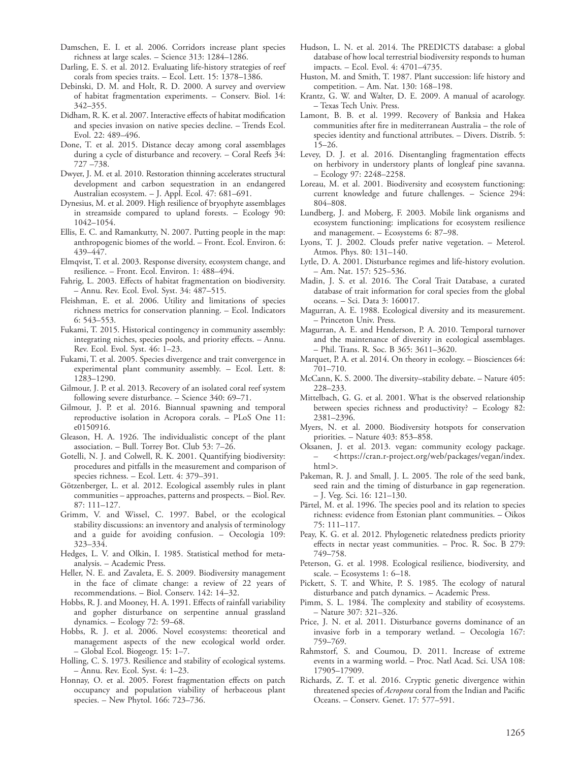- Damschen, E. I. et al. 2006. Corridors increase plant species richness at large scales. – Science 313: 1284–1286.
- Darling, E. S. et al. 2012. Evaluating life-history strategies of reef corals from species traits. – Ecol. Lett. 15: 1378–1386.
- Debinski, D. M. and Holt, R. D. 2000. A survey and overview of habitat fragmentation experiments. – Conserv. Biol. 14: 342–355.
- Didham, R. K. et al. 2007. Interactive effects of habitat modification and species invasion on native species decline. – Trends Ecol. Evol. 22: 489–496.
- Done, T. et al. 2015. Distance decay among coral assemblages during a cycle of disturbance and recovery. – Coral Reefs 34: 727 –738.
- Dwyer, J. M. et al. 2010. Restoration thinning accelerates structural development and carbon sequestration in an endangered Australian ecosystem. – J. Appl. Ecol. 47: 681–691.
- Dynesius, M. et al. 2009. High resilience of bryophyte assemblages in streamside compared to upland forests. – Ecology 90: 1042–1054.
- Ellis, E. C. and Ramankutty, N. 2007. Putting people in the map: anthropogenic biomes of the world. – Front. Ecol. Environ. 6: 439–447.
- Elmqvist, T. et al. 2003. Response diversity, ecosystem change, and resilience. – Front. Ecol. Environ. 1: 488–494.
- Fahrig, L. 2003. Effects of habitat fragmentation on biodiversity. – Annu. Rev. Ecol. Evol. Syst. 34: 487–515.
- Fleishman, E. et al. 2006. Utility and limitations of species richness metrics for conservation planning. – Ecol. Indicators 6: 543–553.
- Fukami, T. 2015. Historical contingency in community assembly: integrating niches, species pools, and priority effects. – Annu. Rev. Ecol. Evol. Syst. 46: 1–23.
- Fukami, T. et al. 2005. Species divergence and trait convergence in experimental plant community assembly. – Ecol. Lett. 8: 1283–1290.
- Gilmour, J. P. et al. 2013. Recovery of an isolated coral reef system following severe disturbance. – Science 340: 69–71.
- Gilmour, J. P. et al. 2016. Biannual spawning and temporal reproductive isolation in Acropora corals. – PLoS One 11: e0150916.
- Gleason, H. A. 1926. The individualistic concept of the plant association. – Bull. Torrey Bot. Club 53: 7–26.
- Gotelli, N. J. and Colwell, R. K. 2001. Quantifying biodiversity: procedures and pitfalls in the measurement and comparison of species richness. – Ecol. Lett. 4: 379–391.
- Götzenberger, L. et al. 2012. Ecological assembly rules in plant communities – approaches, patterns and prospects. – Biol. Rev. 87: 111–127.
- Grimm, V. and Wissel, C. 1997. Babel, or the ecological stability discussions: an inventory and analysis of terminology and a guide for avoiding confusion. – Oecologia 109: 323–334.
- Hedges, L. V. and Olkin, I. 1985. Statistical method for metaanalysis. – Academic Press.
- Heller, N. E. and Zavaleta, E. S. 2009. Biodiversity management in the face of climate change: a review of 22 years of recommendations. – Biol. Conserv. 142: 14–32.
- Hobbs, R. J. and Mooney, H. A. 1991. Effects of rainfall variability and gopher disturbance on serpentine annual grassland dynamics. – Ecology 72: 59–68.
- Hobbs, R. J. et al. 2006. Novel ecosystems: theoretical and management aspects of the new ecological world order. – Global Ecol. Biogeogr. 15: 1–7.
- Holling, C. S. 1973. Resilience and stability of ecological systems. – Annu. Rev. Ecol. Syst. 4: 1–23.
- Honnay, O. et al. 2005. Forest fragmentation effects on patch occupancy and population viability of herbaceous plant species. – New Phytol. 166: 723–736.
- Hudson, L. N. et al. 2014. The PREDICTS database: a global database of how local terrestrial biodiversity responds to human impacts. – Ecol. Evol. 4: 4701–4735.
- Huston, M. and Smith, T. 1987. Plant succession: life history and competition. – Am. Nat. 130: 168–198.
- Krantz, G. W. and Walter, D. E. 2009. A manual of acarology. – Texas Tech Univ. Press.
- Lamont, B. B. et al. 1999. Recovery of Banksia and Hakea communities after fire in mediterranean Australia – the role of species identity and functional attributes. – Divers. Distrib. 5: 15–26.
- Levey, D. J. et al. 2016. Disentangling fragmentation effects on herbivory in understory plants of longleaf pine savanna. – Ecology 97: 2248–2258.
- Loreau, M. et al. 2001. Biodiversity and ecosystem functioning: current knowledge and future challenges. – Science 294: 804–808.
- Lundberg, J. and Moberg, F. 2003. Mobile link organisms and ecosystem functioning: implications for ecosystem resilience and management. – Ecosystems 6: 87–98.
- Lyons, T. J. 2002. Clouds prefer native vegetation. Meterol. Atmos. Phys. 80: 131-140.
- Lytle, D. A. 2001. Disturbance regimes and life-history evolution. – Am. Nat. 157: 525–536.
- Madin, J. S. et al. 2016. The Coral Trait Database, a curated database of trait information for coral species from the global oceans. – Sci. Data 3: 160017.
- Magurran, A. E. 1988. Ecological diversity and its measurement. – Princeton Univ. Press.
- Magurran, A. E. and Henderson, P. A. 2010. Temporal turnover and the maintenance of diversity in ecological assemblages. – Phil. Trans. R. Soc. B 365: 3611–3620.
- Marquet, P. A. et al. 2014. On theory in ecology. Biosciences 64: 701–710.
- McCann, K. S. 2000. The diversity–stability debate. Nature 405: 228–233.
- Mittelbach, G. G. et al. 2001. What is the observed relationship between species richness and productivity? – Ecology 82: 2381–2396.
- Myers, N. et al. 2000. Biodiversity hotspots for conservation priorities. – Nature 403: 853–858.
- Oksanen, J. et al. 2013. vegan: community ecology package. – < https://cran.r-project.org/web/packages/vegan/index. html>.
- Pakeman, R. J. and Small, J. L. 2005. The role of the seed bank, seed rain and the timing of disturbance in gap regeneration. – J. Veg. Sci. 16: 121–130.
- Pärtel, M. et al. 1996. The species pool and its relation to species richness: evidence from Estonian plant communities. – Oikos 75: 111–117.
- Peay, K. G. et al. 2012. Phylogenetic relatedness predicts priority effects in nectar yeast communities. – Proc. R. Soc. B 279: 749–758.
- Peterson, G. et al. 1998. Ecological resilience, biodiversity, and scale. – Ecosystems 1: 6–18.
- Pickett, S. T. and White, P. S. 1985. The ecology of natural disturbance and patch dynamics. – Academic Press.
- Pimm, S. L. 1984. The complexity and stability of ecosystems. – Nature 307: 321–326.
- Price, J. N. et al. 2011. Disturbance governs dominance of an invasive forb in a temporary wetland. – Oecologia 167: 759–769.
- Rahmstorf, S. and Coumou, D. 2011. Increase of extreme events in a warming world. – Proc. Natl Acad. Sci. USA 108: 17905–17909.
- Richards, Z. T. et al. 2016. Cryptic genetic divergence within threatened species of *Acropora* coral from the Indian and Pacific Oceans. – Conserv. Genet. 17: 577–591.